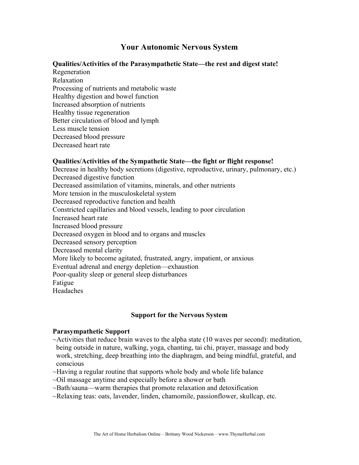# **Your Autonomic Nervous System**

## **Qualities/Activities of the Parasympathetic State—the rest and digest state!**

Regeneration Relaxation Processing of nutrients and metabolic waste Healthy digestion and bowel function Increased absorption of nutrients Healthy tissue regeneration Better circulation of blood and lymph Less muscle tension Decreased blood pressure Decreased heart rate

## **Qualities/Activities of the Sympathetic State—the fight or flight response!**

Decrease in healthy body secretions (digestive, reproductive, urinary, pulmonary, etc.) Decreased digestive function Decreased assimilation of vitamins, minerals, and other nutrients More tension in the musculoskeletal system Decreased reproductive function and health Constricted capillaries and blood vessels, leading to poor circulation Increased heart rate Increased blood pressure Decreased oxygen in blood and to organs and muscles Decreased sensory perception Decreased mental clarity More likely to become agitated, frustrated, angry, impatient, or anxious Eventual adrenal and energy depletion—exhaustion Poor-quality sleep or general sleep disturbances Fatigue Headaches

#### **Support for the Nervous System**

#### **Parasympathetic Support**

- $\sim$ Activities that reduce brain waves to the alpha state (10 waves per second): meditation, being outside in nature, walking, yoga, chanting, tai chi, prayer, massage and body work, stretching, deep breathing into the diaphragm, and being mindful, grateful, and conscious
- ~Having a regular routine that supports whole body and whole life balance
- ~Oil massage anytime and especially before a shower or bath
- ~Bath/sauna—warm therapies that promote relaxation and detoxification
- ~Relaxing teas: oats, lavender, linden, chamomile, passionflower, skullcap, etc.